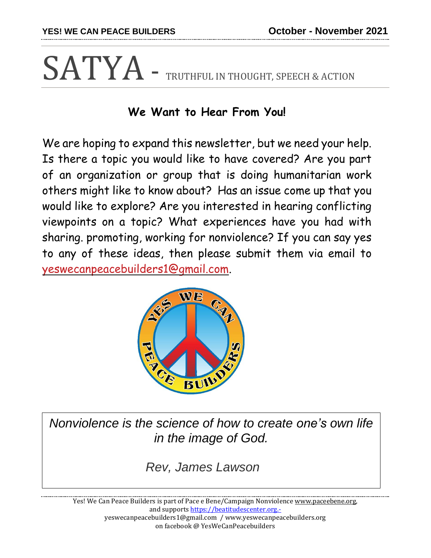## SATYA - TRUTHFUL IN THOUGHT, SPEECH & ACTION

## **We Want to Hear From You!**

We are hoping to expand this newsletter, but we need your help. Is there a topic you would like to have covered? Are you part of an organization or group that is doing humanitarian work others might like to know about? Has an issue come up that you would like to explore? Are you interested in hearing conflicting viewpoints on a topic? What experiences have you had with sharing. promoting, working for nonviolence? If you can say yes to any of these ideas, then please submit them via email to yeswecanpeacebuilders1@gmail.com.



*Nonviolence is the science of how to create one's own life in the image of God.*

*Rev, James Lawson*

Yes! We Can Peace Builders is part of Pace e Bene/Campaign Nonviolence [www.paceebene.org,](http://www.paceebene.org/) and supports [https://beatitudescenter.org.](https://beatitudescenter.org.-/) yeswecanpeacebuilders1@gmail.com / www.yeswecanpeacebuilders.org on facebook @ YesWeCanPeacebuilders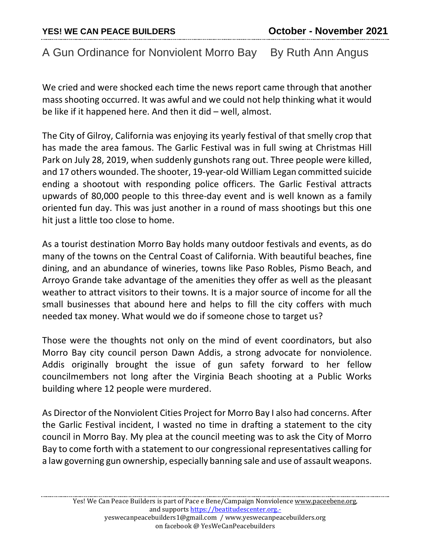## A Gun Ordinance for Nonviolent Morro Bay By Ruth Ann Angus

We cried and were shocked each time the news report came through that another mass shooting occurred. It was awful and we could not help thinking what it would be like if it happened here. And then it did – well, almost.

The City of Gilroy, California was enjoying its yearly festival of that smelly crop that has made the area famous. The Garlic Festival was in full swing at Christmas Hill Park on July 28, 2019, when suddenly gunshots rang out. Three people were killed, and 17 others wounded. The shooter, 19-year-old William Legan committed suicide ending a shootout with responding police officers. The Garlic Festival attracts upwards of 80,000 people to this three-day event and is well known as a family oriented fun day. This was just another in a round of mass shootings but this one hit just a little too close to home.

As a tourist destination Morro Bay holds many outdoor festivals and events, as do many of the towns on the Central Coast of California. With beautiful beaches, fine dining, and an abundance of wineries, towns like Paso Robles, Pismo Beach, and Arroyo Grande take advantage of the amenities they offer as well as the pleasant weather to attract visitors to their towns. It is a major source of income for all the small businesses that abound here and helps to fill the city coffers with much needed tax money. What would we do if someone chose to target us?

Those were the thoughts not only on the mind of event coordinators, but also Morro Bay city council person Dawn Addis, a strong advocate for nonviolence. Addis originally brought the issue of gun safety forward to her fellow councilmembers not long after the Virginia Beach shooting at a Public Works building where 12 people were murdered.

As Director of the Nonviolent Cities Project for Morro Bay I also had concerns. After the Garlic Festival incident, I wasted no time in drafting a statement to the city council in Morro Bay. My plea at the council meeting was to ask the City of Morro Bay to come forth with a statement to our congressional representatives calling for a law governing gun ownership, especially banning sale and use of assault weapons.